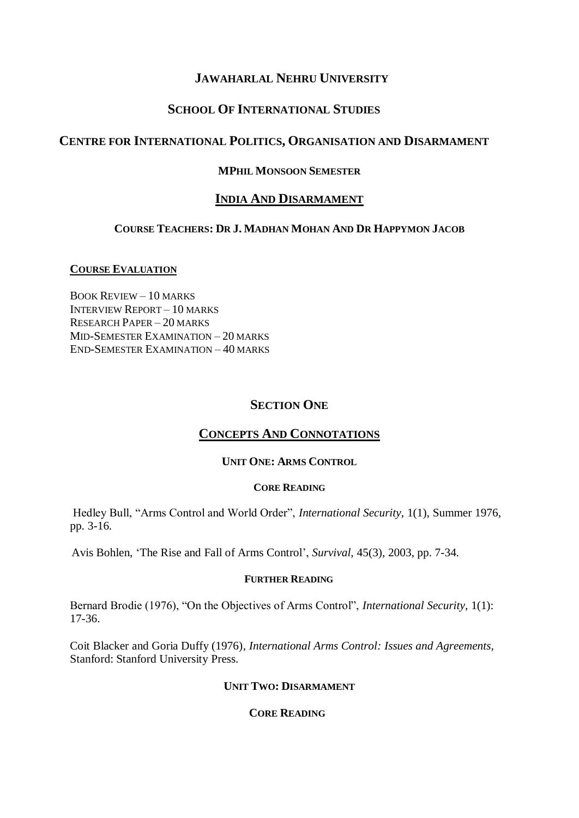# **JAWAHARLAL NEHRU UNIVERSITY**

# **SCHOOL OF INTERNATIONAL STUDIES**

## **CENTRE FOR INTERNATIONAL POLITICS, ORGANISATION AND DISARMAMENT**

## **MPHIL MONSOON SEMESTER**

## **INDIA AND DISARMAMENT**

## **COURSE TEACHERS: DR J. MADHAN MOHAN AND DR HAPPYMON JACOB**

### **COURSE EVALUATION**

BOOK REVIEW – 10 MARKS INTERVIEW REPORT – 10 MARKS RESEARCH PAPER – 20 MARKS MID-SEMESTER EXAMINATION – 20 MARKS END-SEMESTER EXAMINATION – 40 MARKS

## **SECTION ONE**

# **CONCEPTS AND CONNOTATIONS**

### **UNIT ONE: ARMS CONTROL**

#### **CORE READING**

Hedley Bull, "Arms Control and World Order", *International Security*, 1(1), Summer 1976, pp. 3-16.

Avis Bohlen, "The Rise and Fall of Arms Control", *Survival,* 45(3), 2003, pp. 7-34.

#### **FURTHER READING**

Bernard Brodie (1976), "On the Objectives of Arms Control", *International Security*, 1(1): 17-36.

Coit Blacker and Goria Duffy (1976)*, International Arms Control: Issues and Agreements,*  Stanford: Stanford University Press.

## **UNIT TWO: DISARMAMENT**

## **CORE READING**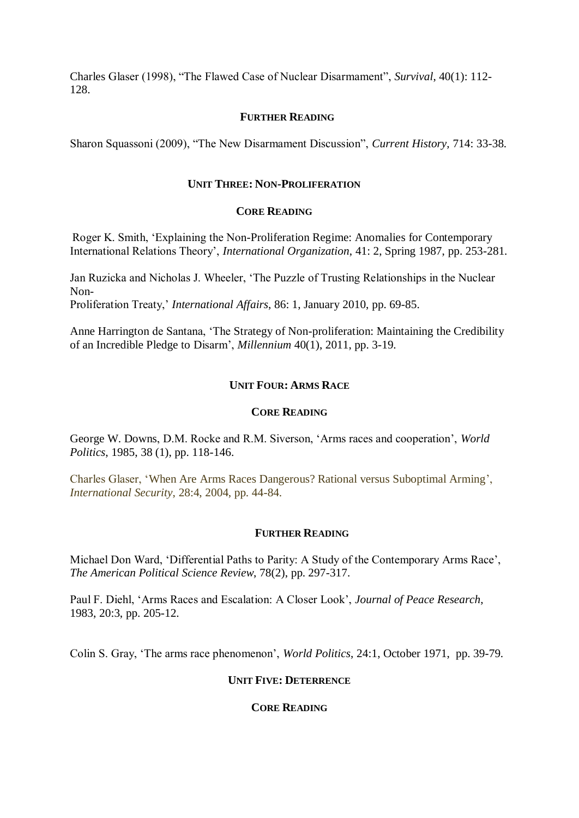Charles Glaser (1998), "The Flawed Case of Nuclear Disarmament", *Survival*, 40(1): 112- 128.

### **FURTHER READING**

Sharon Squassoni (2009), "The New Disarmament Discussion", *Current History,* 714: 33-38.

### **UNIT THREE: NON-PROLIFERATION**

## **CORE READING**

Roger K. Smith, "Explaining the Non-Proliferation Regime: Anomalies for Contemporary International Relations Theory", *International Organization*, 41: 2, Spring 1987, pp. 253-281.

Jan Ruzicka and Nicholas J. Wheeler, "The Puzzle of Trusting Relationships in the Nuclear Non-Proliferation Treaty," *International Affairs*, 86: 1, January 2010, pp. 69-85.

Anne Harrington de Santana, "The Strategy of Non-proliferation: Maintaining the Credibility of an Incredible Pledge to Disarm", *Millennium* 40(1), 2011, pp. 3-19.

### **UNIT FOUR: ARMS RACE**

### **CORE READING**

George W. Downs, D.M. Rocke and R.M. Siverson, "Arms races and cooperation", *World Politics*, 1985, 38 (1), pp. 118-146.

Charles Glaser, "When Are Arms Races Dangerous? Rational versus Suboptimal Arming", *International Security*, 28:4, 2004, pp. 44-84.

#### **FURTHER READING**

Michael Don Ward, "Differential Paths to Parity: A Study of the Contemporary Arms Race", *The American Political Science Review*, 78(2), pp. 297-317.

Paul F. Diehl, "Arms Races and Escalation: A Closer Look", *Journal of Peace Research*, 1983, 20:3, pp. 205-12.

Colin S. Gray, "The arms race phenomenon", *World Politics*, 24:1, October 1971, pp. 39-79.

### **UNIT FIVE: DETERRENCE**

## **CORE READING**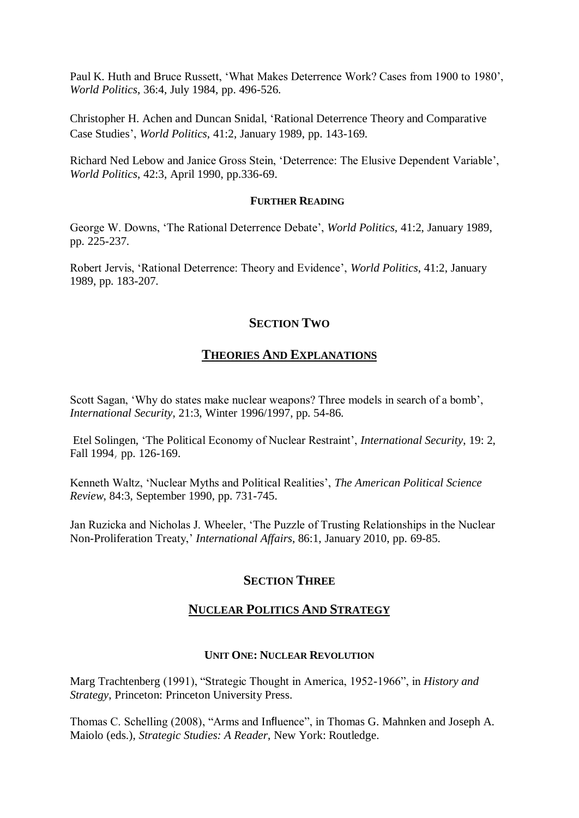Paul K. Huth and Bruce Russett, "What Makes Deterrence Work? Cases from 1900 to 1980", *World Politics*, 36:4, July 1984, pp. 496-526.

Christopher H. Achen and Duncan Snidal, "Rational Deterrence Theory and Comparative Case Studies", *World Politics*, 41:2, January 1989, pp. 143-169.

Richard Ned Lebow and Janice Gross Stein, "Deterrence: The Elusive Dependent Variable", *World Politics*, 42:3, April 1990, pp.336-69.

#### **FURTHER READING**

George W. Downs, "The Rational Deterrence Debate", *World Politics*, 41:2, January 1989, pp. 225-237.

Robert Jervis, "Rational Deterrence: Theory and Evidence", *World Politics*, 41:2, January 1989, pp. 183-207.

## **SECTION TWO**

## **THEORIES AND EXPLANATIONS**

Scott Sagan, 'Why do states make nuclear weapons? Three models in search of a bomb', *International Security*, 21:3, Winter 1996/1997, pp. 54-86.

Etel Solingen, "The Political Economy of Nuclear Restraint", *International Security*, 19: 2, Fall 1994, pp. 126-169.

Kenneth Waltz, "Nuclear Myths and Political Realities", *The American Political Science Review*, 84:3, September 1990, pp. 731-745.

Jan Ruzicka and Nicholas J. Wheeler, "The Puzzle of Trusting Relationships in the Nuclear Non-Proliferation Treaty," *International Affairs*, 86:1, January 2010, pp. 69-85.

## **SECTION THREE**

### **NUCLEAR POLITICS AND STRATEGY**

### **UNIT ONE: NUCLEAR REVOLUTION**

Marg Trachtenberg (1991), "Strategic Thought in America, 1952-1966", in *History and Strategy*, Princeton: Princeton University Press.

Thomas C. Schelling (2008), "Arms and Influence", in Thomas G. Mahnken and Joseph A. Maiolo (eds.), *Strategic Studies: A Reader*, New York: Routledge.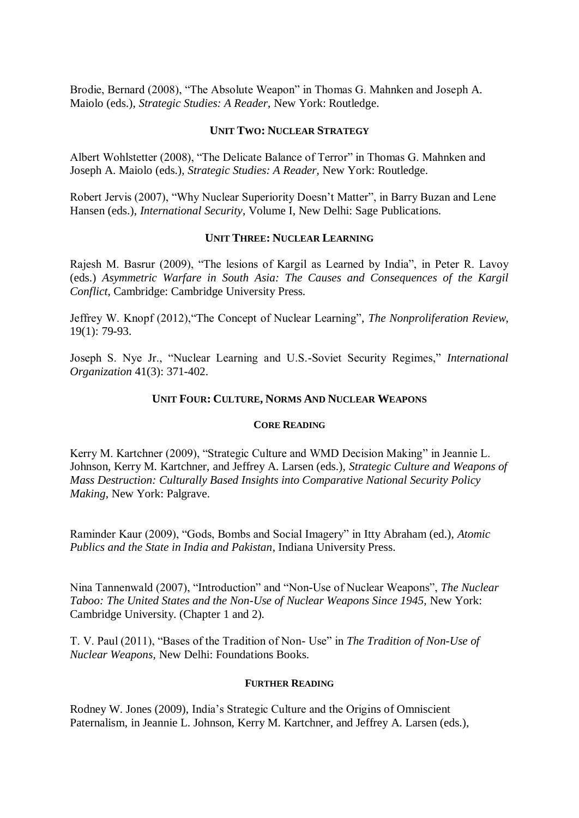Brodie, Bernard (2008), "The Absolute Weapon" in Thomas G. Mahnken and Joseph A. Maiolo (eds.), *Strategic Studies: A Reader*, New York: Routledge.

## **UNIT TWO: NUCLEAR STRATEGY**

Albert Wohlstetter (2008), "The Delicate Balance of Terror" in Thomas G. Mahnken and Joseph A. Maiolo (eds.), *Strategic Studies: A Reader*, New York: Routledge.

Robert Jervis (2007), "Why Nuclear Superiority Doesn"t Matter", in Barry Buzan and Lene Hansen (eds.), *International Security*, Volume I, New Delhi: Sage Publications.

### **UNIT THREE: NUCLEAR LEARNING**

Rajesh M. Basrur (2009), "The lesions of Kargil as Learned by India", in Peter R. Lavoy (eds.) *Asymmetric Warfare in South Asia: The Causes and Consequences of the Kargil Conflict*, Cambridge: Cambridge University Press.

Jeffrey W. Knopf (2012),"The Concept of Nuclear Learning", *The Nonproliferation Review*, 19(1): 79-93.

Joseph S. Nye Jr., "Nuclear Learning and U.S.-Soviet Security Regimes," *International Organization* 41(3): 371-402.

### **UNIT FOUR: CULTURE, NORMS AND NUCLEAR WEAPONS**

#### **CORE READING**

Kerry M. Kartchner (2009), "Strategic Culture and WMD Decision Making" in Jeannie L. Johnson, Kerry M. Kartchner, and Jeffrey A. Larsen (eds.), *Strategic Culture and Weapons of Mass Destruction: Culturally Based Insights into Comparative National Security Policy Making*, New York: Palgrave.

Raminder Kaur (2009), "Gods, Bombs and Social Imagery" in Itty Abraham (ed.), *Atomic Publics and the State in India and Pakistan*, Indiana University Press.

Nina Tannenwald (2007), "Introduction" and "Non-Use of Nuclear Weapons", *The Nuclear Taboo: The United States and the Non-Use of Nuclear Weapons Since 1945*, New York: Cambridge University. (Chapter 1 and 2).

T. V. Paul (2011), "Bases of the Tradition of Non- Use" in *The Tradition of Non-Use of Nuclear Weapons*, New Delhi: Foundations Books.

#### **FURTHER READING**

Rodney W. Jones (2009), India"s Strategic Culture and the Origins of Omniscient Paternalism, in Jeannie L. Johnson, Kerry M. Kartchner, and Jeffrey A. Larsen (eds.),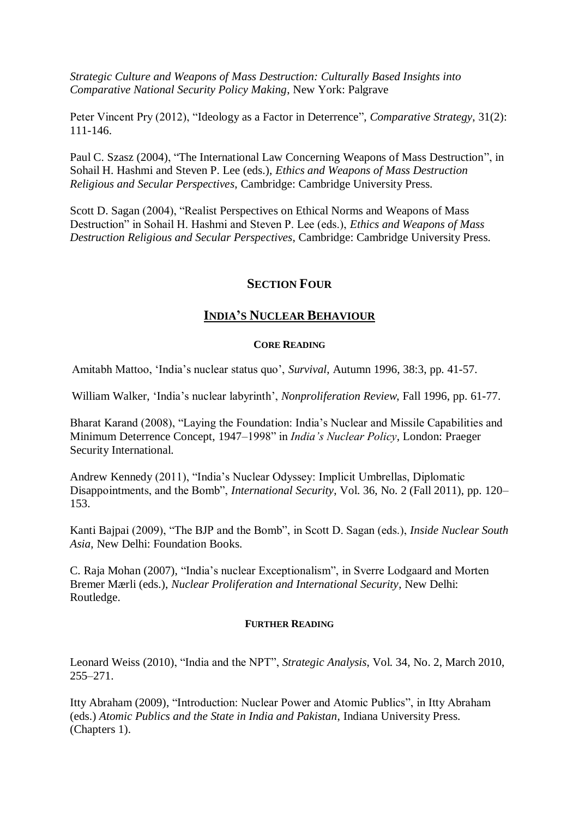*Strategic Culture and Weapons of Mass Destruction: Culturally Based Insights into Comparative National Security Policy Making*, New York: Palgrave

Peter Vincent Pry (2012), "Ideology as a Factor in Deterrence", *Comparative Strategy*, 31(2): 111-146.

Paul C. Szasz (2004), "The International Law Concerning Weapons of Mass Destruction", in Sohail H. Hashmi and Steven P. Lee (eds.), *Ethics and Weapons of Mass Destruction Religious and Secular Perspectives*, Cambridge: Cambridge University Press.

Scott D. Sagan (2004), "Realist Perspectives on Ethical Norms and Weapons of Mass Destruction" in Sohail H. Hashmi and Steven P. Lee (eds.), *Ethics and Weapons of Mass Destruction Religious and Secular Perspectives*, Cambridge: Cambridge University Press.

# **SECTION FOUR**

## **INDIA'S NUCLEAR BEHAVIOUR**

### **CORE READING**

Amitabh Mattoo, "India"s nuclear status quo", *Survival*, Autumn 1996, 38:3, pp. 41-57.

William Walker, "India"s nuclear labyrinth", *Nonproliferation Review*, Fall 1996, pp. 61-77.

Bharat Karand (2008), "Laying the Foundation: India"s Nuclear and Missile Capabilities and Minimum Deterrence Concept, 1947–1998" in *India's Nuclear Policy*, London: Praeger Security International.

Andrew Kennedy (2011), "India"s Nuclear Odyssey: Implicit Umbrellas, Diplomatic Disappointments, and the Bomb", *International Security*, Vol. 36, No. 2 (Fall 2011), pp. 120– 153.

Kanti Bajpai (2009), "The BJP and the Bomb", in Scott D. Sagan (eds.), *Inside Nuclear South Asia*, New Delhi: Foundation Books.

C. Raja Mohan (2007), "India"s nuclear Exceptionalism", in Sverre Lodgaard and Morten Bremer Mærli (eds.), *Nuclear Proliferation and International Security*, New Delhi: Routledge.

### **FURTHER READING**

Leonard Weiss (2010), "India and the NPT", *Strategic Analysis*, Vol. 34, No. 2, March 2010, 255–271.

Itty Abraham (2009), "Introduction: Nuclear Power and Atomic Publics", in Itty Abraham (eds.) *Atomic Publics and the State in India and Pakistan*, Indiana University Press. (Chapters 1).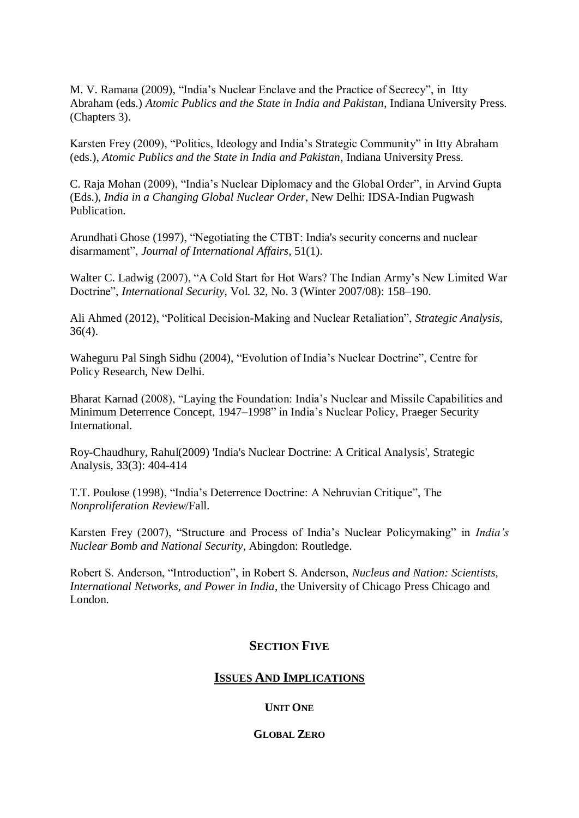M. V. Ramana (2009), "India"s Nuclear Enclave and the Practice of Secrecy", in Itty Abraham (eds.) *Atomic Publics and the State in India and Pakistan*, Indiana University Press. (Chapters 3).

Karsten Frey (2009), "Politics, Ideology and India"s Strategic Community" in Itty Abraham (eds.), *Atomic Publics and the State in India and Pakistan*, Indiana University Press.

C. Raja Mohan (2009), "India"s Nuclear Diplomacy and the Global Order", in Arvind Gupta (Eds.), *India in a Changing Global Nuclear Order*, New Delhi: IDSA-Indian Pugwash Publication.

Arundhati Ghose (1997), "Negotiating the CTBT: India's security concerns and nuclear disarmament", *Journal of International Affairs*, 51(1).

Walter C. Ladwig (2007), "A Cold Start for Hot Wars? The Indian Army"s New Limited War Doctrine", *International Security*, Vol. 32, No. 3 (Winter 2007/08): 158–190.

Ali Ahmed (2012), "Political Decision-Making and Nuclear Retaliation", *Strategic Analysis*, 36(4).

Waheguru Pal Singh Sidhu (2004), "Evolution of India"s Nuclear Doctrine", Centre for Policy Research, New Delhi.

Bharat Karnad (2008), "Laying the Foundation: India"s Nuclear and Missile Capabilities and Minimum Deterrence Concept, 1947–1998" in India"s Nuclear Policy, Praeger Security International.

Roy-Chaudhury, Rahul(2009) 'India's Nuclear Doctrine: A Critical Analysis', Strategic Analysis, 33(3): 404-414

T.T. Poulose (1998), "India"s Deterrence Doctrine: A Nehruvian Critique", The *Nonproliferation Review*/Fall.

Karsten Frey (2007), "Structure and Process of India"s Nuclear Policymaking" in *India's Nuclear Bomb and National Security*, Abingdon: Routledge.

Robert S. Anderson, "Introduction", in Robert S. Anderson, *Nucleus and Nation: Scientists, International Networks, and Power in India*, the University of Chicago Press Chicago and London.

# **SECTION FIVE**

## **ISSUES AND IMPLICATIONS**

## **UNIT ONE**

### **GLOBAL ZERO**